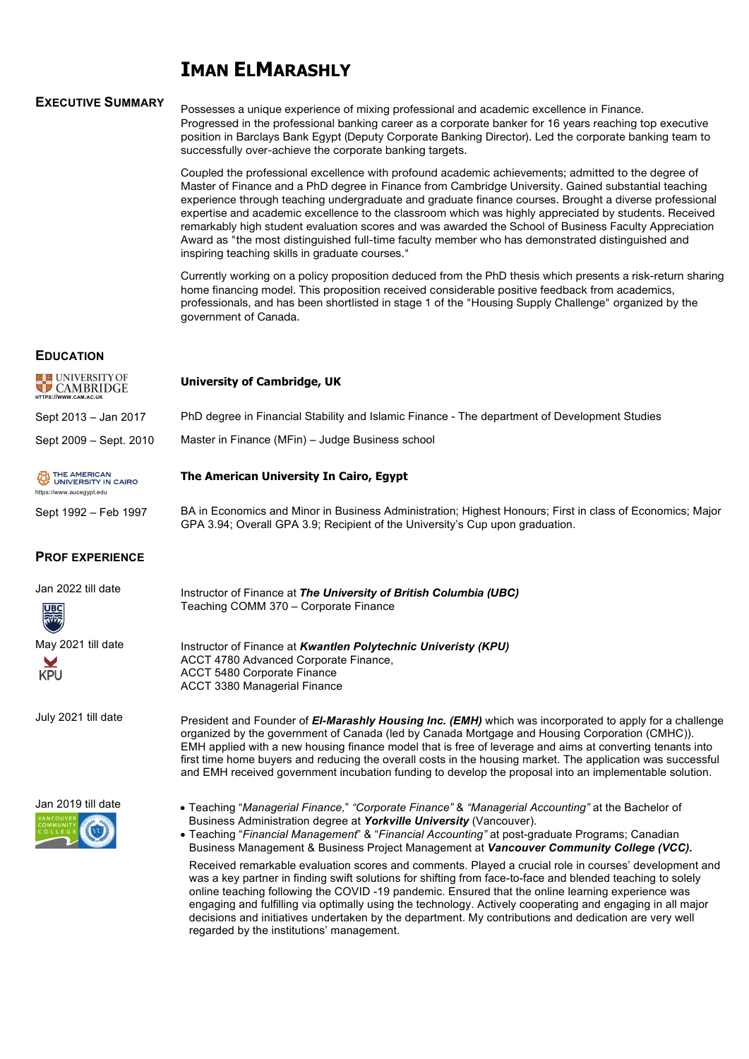# **IMAN ELMARASHLY**

## **EXECUTIVE SUMMARY**

Possesses a unique experience of mixing professional and academic excellence in Finance. Progressed in the professional banking career as a corporate banker for 16 years reaching top executive position in Barclays Bank Egypt (Deputy Corporate Banking Director). Led the corporate banking team to successfully over-achieve the corporate banking targets.

Coupled the professional excellence with profound academic achievements; admitted to the degree of Master of Finance and a PhD degree in Finance from Cambridge University. Gained substantial teaching experience through teaching undergraduate and graduate finance courses. Brought a diverse professional expertise and academic excellence to the classroom which was highly appreciated by students. Received remarkably high student evaluation scores and was awarded the School of Business Faculty Appreciation Award as "the most distinguished full-time faculty member who has demonstrated distinguished and inspiring teaching skills in graduate courses."

Currently working on a policy proposition deduced from the PhD thesis which presents a risk-return sharing home financing model. This proposition received considerable positive feedback from academics, professionals, and has been shortlisted in stage 1 of the "Housing Supply Challenge" organized by the government of Canada.

### **EDUCATION**

| <b>EXECUNIVERSITY OF</b><br>HTTPS://WWW.CAM.AC.UK | University of Cambridge, UK                                                                                                                                                                |
|---------------------------------------------------|--------------------------------------------------------------------------------------------------------------------------------------------------------------------------------------------|
| Sept 2013 - Jan 2017                              | PhD degree in Financial Stability and Islamic Finance - The department of Development Studies                                                                                              |
| Sept 2009 - Sept. 2010                            | Master in Finance (MFin) – Judge Business school                                                                                                                                           |
| UNIVERSITY IN CAIRO<br>https://www.aucegypt.edu   | The American University In Cairo, Egypt                                                                                                                                                    |
| Sept 1992 - Feb 1997                              | BA in Economics and Minor in Business Administration; Highest Honours; First in class of Economics; Major<br>GPA 3.94; Overall GPA 3.9; Recipient of the University's Cup upon graduation. |
| <b>PROF EXPERIENCE</b>                            |                                                                                                                                                                                            |
| Jan 2022 till date<br>▒                           | Instructor of Finance at The University of British Columbia (UBC)<br>Teaching COMM 370 - Corporate Finance                                                                                 |
| May 2021 till date                                | Instructor of Finance at Kwantlen Polytechnic Univeristy (KPU)                                                                                                                             |

ACCT 4780 Advanced Corporate Finance,

ACCT 5480 Corporate Finance ACCT 3380 Managerial Finance

July 2021 till date



• Teaching "*Managerial Finance,*" *"Corporate Finance"* & *"Managerial Accounting"* at the Bachelor of Business Administration degree at *Yorkville University* (Vancouver).

• Teaching "*Financial Management*" & "*Financial Accounting"* at post-graduate Programs; Canadian Business Management & Business Project Management at *Vancouver Community College (VCC).*

Received remarkable evaluation scores and comments. Played a crucial role in courses' development and was a key partner in finding swift solutions for shifting from face-to-face and blended teaching to solely online teaching following the COVID -19 pandemic. Ensured that the online learning experience was engaging and fulfilling via optimally using the technology. Actively cooperating and engaging in all major decisions and initiatives undertaken by the department. My contributions and dedication are very well regarded by the institutions' management.

President and Founder of *El-Marashly Housing Inc. (EMH)* which was incorporated to apply for a challenge organized by the government of Canada (led by Canada Mortgage and Housing Corporation (CMHC)). EMH applied with a new housing finance model that is free of leverage and aims at converting tenants into first time home buyers and reducing the overall costs in the housing market. The application was successful and EMH received government incubation funding to develop the proposal into an implementable solution.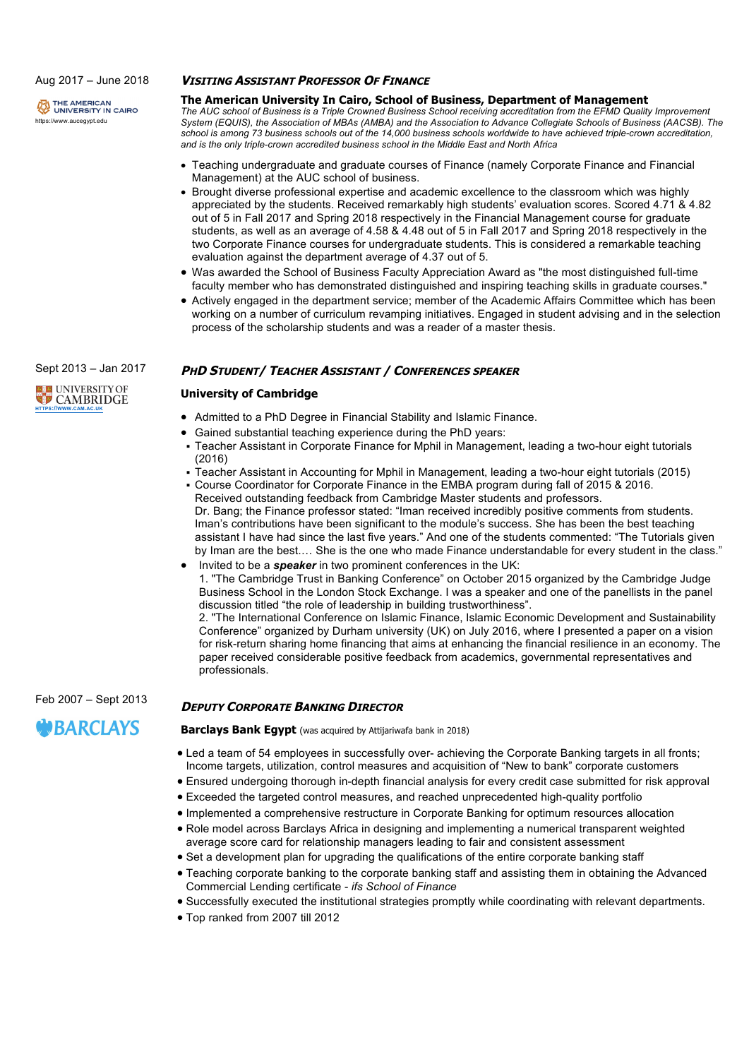Aug 2017 – June 2018

THE AMERICAN<br>UNIVERSITY IN CAIRO https://www.aucegypt.edu

### **VISITING ASSISTANT PROFESSOR OF FINANCE**

## **The American University In Cairo, School of Business, Department of Management**

*The AUC school of Business is a Triple Crowned Business School receiving accreditation from the EFMD Quality Improvement System (EQUIS), the Association of MBAs (AMBA) and the Association to Advance Collegiate Schools of Business (AACSB). The school is among 73 business schools out of the 14,000 business schools worldwide to have achieved triple-crown accreditation, and is the only triple-crown accredited business school in the Middle East and North Africa*

- Teaching undergraduate and graduate courses of Finance (namely Corporate Finance and Financial Management) at the AUC school of business.
- Brought diverse professional expertise and academic excellence to the classroom which was highly appreciated by the students. Received remarkably high students' evaluation scores. Scored 4.71 & 4.82 out of 5 in Fall 2017 and Spring 2018 respectively in the Financial Management course for graduate students, as well as an average of 4.58 & 4.48 out of 5 in Fall 2017 and Spring 2018 respectively in the two Corporate Finance courses for undergraduate students. This is considered a remarkable teaching evaluation against the department average of 4.37 out of 5.
- Was awarded the School of Business Faculty Appreciation Award as "the most distinguished full-time faculty member who has demonstrated distinguished and inspiring teaching skills in graduate courses."
- Actively engaged in the department service; member of the Academic Affairs Committee which has been working on a number of curriculum revamping initiatives. Engaged in student advising and in the selection process of the scholarship students and was a reader of a master thesis.

## **PHD STUDENT/ TEACHER ASSISTANT / CONFERENCES SPEAKER**

#### **University of Cambridge**

- Admitted to a PhD Degree in Financial Stability and Islamic Finance.
- Gained substantial teaching experience during the PhD years:
- § Teacher Assistant in Corporate Finance for Mphil in Management, leading a two-hour eight tutorials (2016)
- § Teacher Assistant in Accounting for Mphil in Management, leading a two-hour eight tutorials (2015)
- § Course Coordinator for Corporate Finance in the EMBA program during fall of 2015 & 2016. Received outstanding feedback from Cambridge Master students and professors. Dr. Bang; the Finance professor stated: "Iman received incredibly positive comments from students. Iman's contributions have been significant to the module's success. She has been the best teaching assistant I have had since the last five years." And one of the students commented: "The Tutorials given by Iman are the best.… She is the one who made Finance understandable for every student in the class."
- Invited to be a *speaker* in two prominent conferences in the UK: 1. "The Cambridge Trust in Banking Conference" on October 2015 organized by the Cambridge Judge Business School in the London Stock Exchange. I was a speaker and one of the panellists in the panel discussion titled "the role of leadership in building trustworthiness". 2. "The International Conference on Islamic Finance, Islamic Economic Development and Sustainability Conference" organized by Durham university (UK) on July 2016, where I presented a paper on a vision

for risk-return sharing home financing that aims at enhancing the financial resilience in an economy. The paper received considerable positive feedback from academics, governmental representatives and professionals.

## **DEPUTY CORPORATE BANKING DIRECTOR**

**Barclays Bank Egypt** (was acquired by Attijariwafa bank in 2018)

- Led a team of 54 employees in successfully over- achieving the Corporate Banking targets in all fronts; Income targets, utilization, control measures and acquisition of "New to bank" corporate customers
- Ensured undergoing thorough in-depth financial analysis for every credit case submitted for risk approval
- Exceeded the targeted control measures, and reached unprecedented high-quality portfolio
- Implemented a comprehensive restructure in Corporate Banking for optimum resources allocation
- Role model across Barclays Africa in designing and implementing a numerical transparent weighted average score card for relationship managers leading to fair and consistent assessment
- Set a development plan for upgrading the qualifications of the entire corporate banking staff
- Teaching corporate banking to the corporate banking staff and assisting them in obtaining the Advanced Commercial Lending certificate - *ifs School of Finance*
- Successfully executed the institutional strategies promptly while coordinating with relevant departments.
- Top ranked from 2007 till 2012

**ELE UNIVERSITY OF CAMBRIDGE HTTPS://WWW.CAM.AC.UK**

Sept 2013 – Jan 2017

Feb 2007 – Sept 2013

# **MBARCLAYS**